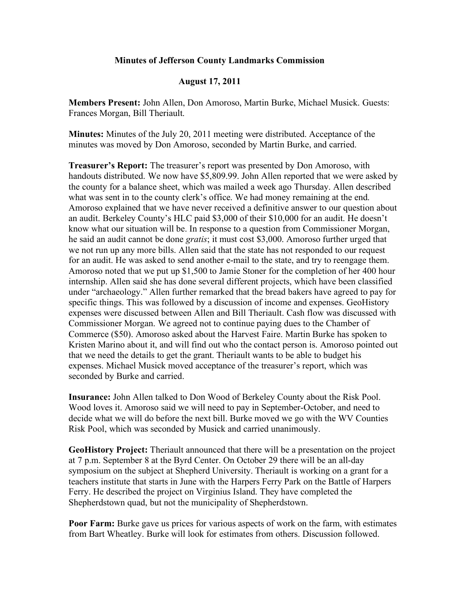## **Minutes of Jefferson County Landmarks Commission**

## **August 17, 2011**

**Members Present:** John Allen, Don Amoroso, Martin Burke, Michael Musick. Guests: Frances Morgan, Bill Theriault.

**Minutes:** Minutes of the July 20, 2011 meeting were distributed. Acceptance of the minutes was moved by Don Amoroso, seconded by Martin Burke, and carried.

**Treasurer's Report:** The treasurer's report was presented by Don Amoroso, with handouts distributed. We now have \$5,809.99. John Allen reported that we were asked by the county for a balance sheet, which was mailed a week ago Thursday. Allen described what was sent in to the county clerk's office. We had money remaining at the end. Amoroso explained that we have never received a definitive answer to our question about an audit. Berkeley County's HLC paid \$3,000 of their \$10,000 for an audit. He doesn't know what our situation will be. In response to a question from Commissioner Morgan, he said an audit cannot be done *gratis*; it must cost \$3,000. Amoroso further urged that we not run up any more bills. Allen said that the state has not responded to our request for an audit. He was asked to send another e-mail to the state, and try to reengage them. Amoroso noted that we put up \$1,500 to Jamie Stoner for the completion of her 400 hour internship. Allen said she has done several different projects, which have been classified under "archaeology." Allen further remarked that the bread bakers have agreed to pay for specific things. This was followed by a discussion of income and expenses. GeoHistory expenses were discussed between Allen and Bill Theriault. Cash flow was discussed with Commissioner Morgan. We agreed not to continue paying dues to the Chamber of Commerce (\$50). Amoroso asked about the Harvest Faire. Martin Burke has spoken to Kristen Marino about it, and will find out who the contact person is. Amoroso pointed out that we need the details to get the grant. Theriault wants to be able to budget his expenses. Michael Musick moved acceptance of the treasurer's report, which was seconded by Burke and carried.

**Insurance:** John Allen talked to Don Wood of Berkeley County about the Risk Pool. Wood loves it. Amoroso said we will need to pay in September-October, and need to decide what we will do before the next bill. Burke moved we go with the WV Counties Risk Pool, which was seconded by Musick and carried unanimously.

**GeoHistory Project:** Theriault announced that there will be a presentation on the project at 7 p.m. September 8 at the Byrd Center. On October 29 there will be an all-day symposium on the subject at Shepherd University. Theriault is working on a grant for a teachers institute that starts in June with the Harpers Ferry Park on the Battle of Harpers Ferry. He described the project on Virginius Island. They have completed the Shepherdstown quad, but not the municipality of Shepherdstown.

**Poor Farm:** Burke gave us prices for various aspects of work on the farm, with estimates from Bart Wheatley. Burke will look for estimates from others. Discussion followed.